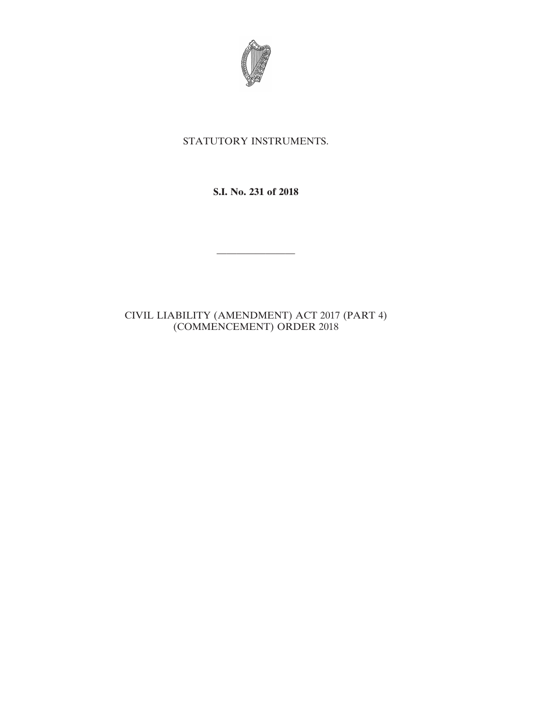

# STATUTORY INSTRUMENTS.

## **S.I. No. 231 of 2018**

————————

## CIVIL LIABILITY (AMENDMENT) ACT 2017 (PART 4) (COMMENCEMENT) ORDER 2018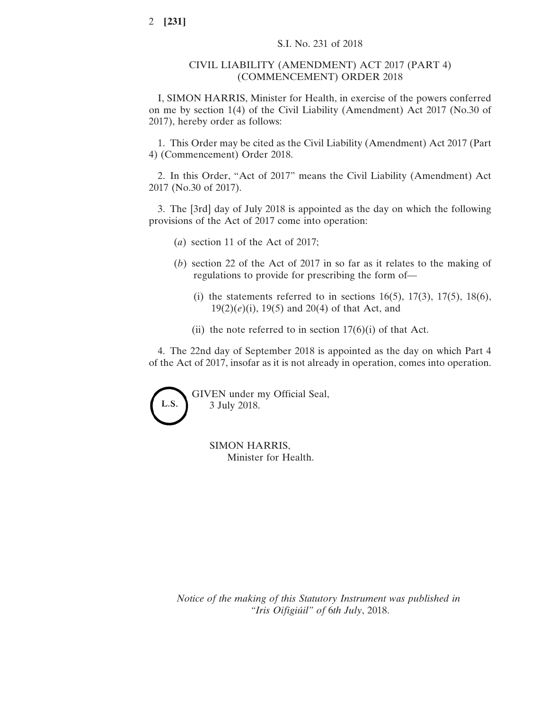#### CIVIL LIABILITY (AMENDMENT) ACT 2017 (PART 4) (COMMENCEMENT) ORDER 2018

I, SIMON HARRIS, Minister for Health, in exercise of the powers conferred on me by section 1(4) of the Civil Liability (Amendment) Act 2017 (No.30 of 2017), hereby order as follows:

1. This Order may be cited as the Civil Liability (Amendment) Act 2017 (Part 4) (Commencement) Order 2018.

2. In this Order, "Act of 2017" means the Civil Liability (Amendment) Act 2017 (No.30 of 2017).

3. The [3rd] day of July 2018 is appointed as the day on which the following provisions of the Act of 2017 come into operation:

- (*a*) section 11 of the Act of 2017;
- (*b*) section 22 of the Act of 2017 in so far as it relates to the making of regulations to provide for prescribing the form of—
	- (i) the statements referred to in sections  $16(5)$ ,  $17(3)$ ,  $17(5)$ ,  $18(6)$ , 19(2)(*e*)(i), 19(5) and 20(4) of that Act, and
	- (ii) the note referred to in section  $17(6)(i)$  of that Act.

4. The 22nd day of September 2018 is appointed as the day on which Part 4 of the Act of 2017, insofar as it is not already in operation, comes into operation.



SIMON HARRIS, Minister for Health.

*Notice of the making of this Statutory Instrument was published in "Iris Oifigiúil" of* 6*th July*, 2018.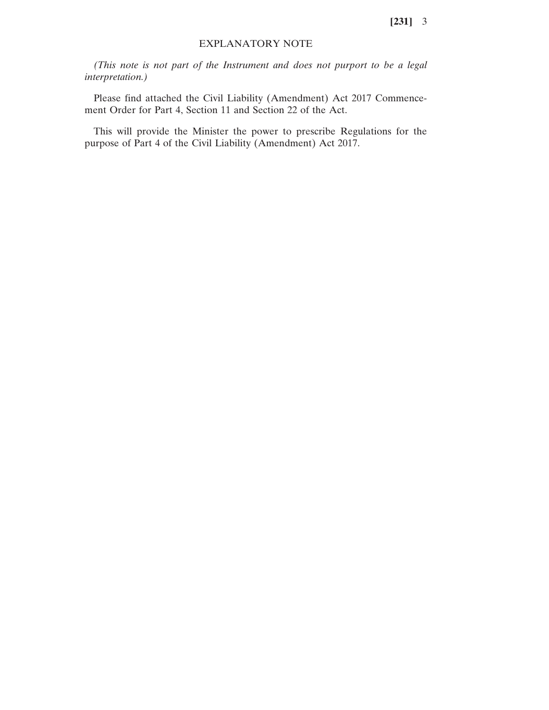**[231]** 3

#### EXPLANATORY NOTE

*(This note is not part of the Instrument and does not purport to be a legal interpretation.)*

Please find attached the Civil Liability (Amendment) Act 2017 Commencement Order for Part 4, Section 11 and Section 22 of the Act.

This will provide the Minister the power to prescribe Regulations for the purpose of Part 4 of the Civil Liability (Amendment) Act 2017.